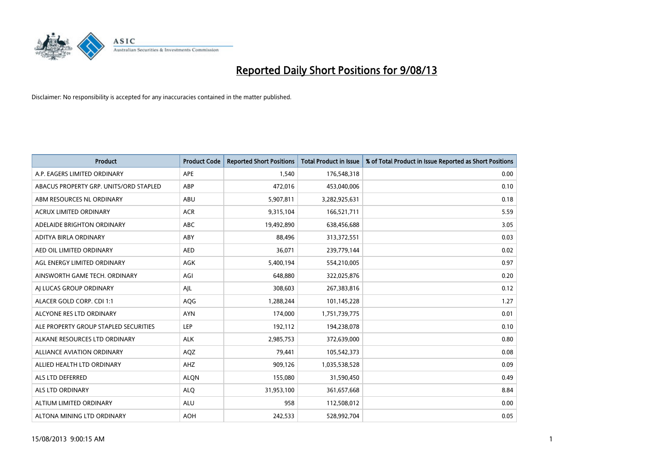

| <b>Product</b>                         | <b>Product Code</b> | <b>Reported Short Positions</b> | Total Product in Issue | % of Total Product in Issue Reported as Short Positions |
|----------------------------------------|---------------------|---------------------------------|------------------------|---------------------------------------------------------|
| A.P. EAGERS LIMITED ORDINARY           | <b>APE</b>          | 1,540                           | 176,548,318            | 0.00                                                    |
| ABACUS PROPERTY GRP. UNITS/ORD STAPLED | ABP                 | 472,016                         | 453,040,006            | 0.10                                                    |
| ABM RESOURCES NL ORDINARY              | ABU                 | 5,907,811                       | 3,282,925,631          | 0.18                                                    |
| <b>ACRUX LIMITED ORDINARY</b>          | <b>ACR</b>          | 9,315,104                       | 166,521,711            | 5.59                                                    |
| ADELAIDE BRIGHTON ORDINARY             | <b>ABC</b>          | 19,492,890                      | 638,456,688            | 3.05                                                    |
| ADITYA BIRLA ORDINARY                  | <b>ABY</b>          | 88,496                          | 313,372,551            | 0.03                                                    |
| AED OIL LIMITED ORDINARY               | <b>AED</b>          | 36,071                          | 239,779,144            | 0.02                                                    |
| AGL ENERGY LIMITED ORDINARY            | AGK                 | 5,400,194                       | 554,210,005            | 0.97                                                    |
| AINSWORTH GAME TECH. ORDINARY          | AGI                 | 648,880                         | 322,025,876            | 0.20                                                    |
| AI LUCAS GROUP ORDINARY                | AJL                 | 308,603                         | 267,383,816            | 0.12                                                    |
| ALACER GOLD CORP. CDI 1:1              | AQG                 | 1,288,244                       | 101,145,228            | 1.27                                                    |
| ALCYONE RES LTD ORDINARY               | <b>AYN</b>          | 174,000                         | 1,751,739,775          | 0.01                                                    |
| ALE PROPERTY GROUP STAPLED SECURITIES  | <b>LEP</b>          | 192,112                         | 194,238,078            | 0.10                                                    |
| ALKANE RESOURCES LTD ORDINARY          | <b>ALK</b>          | 2,985,753                       | 372,639,000            | 0.80                                                    |
| <b>ALLIANCE AVIATION ORDINARY</b>      | AQZ                 | 79,441                          | 105,542,373            | 0.08                                                    |
| ALLIED HEALTH LTD ORDINARY             | <b>AHZ</b>          | 909,126                         | 1,035,538,528          | 0.09                                                    |
| ALS LTD DEFERRED                       | <b>ALQN</b>         | 155,080                         | 31,590,450             | 0.49                                                    |
| <b>ALS LTD ORDINARY</b>                | <b>ALQ</b>          | 31,953,100                      | 361,657,668            | 8.84                                                    |
| ALTIUM LIMITED ORDINARY                | <b>ALU</b>          | 958                             | 112,508,012            | 0.00                                                    |
| ALTONA MINING LTD ORDINARY             | <b>AOH</b>          | 242,533                         | 528,992,704            | 0.05                                                    |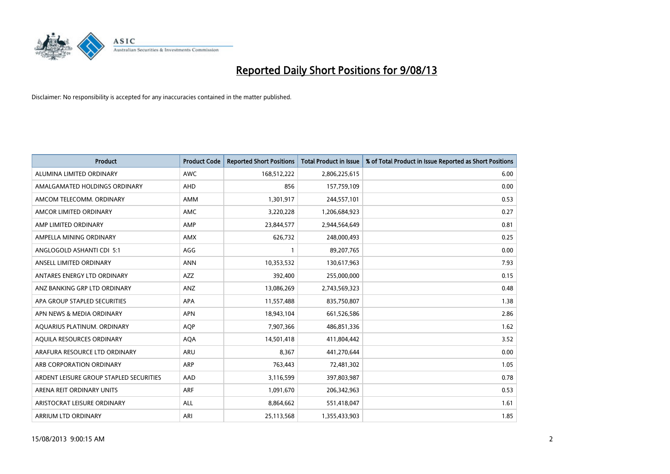

| <b>Product</b>                          | <b>Product Code</b> | <b>Reported Short Positions</b> | <b>Total Product in Issue</b> | % of Total Product in Issue Reported as Short Positions |
|-----------------------------------------|---------------------|---------------------------------|-------------------------------|---------------------------------------------------------|
| ALUMINA LIMITED ORDINARY                | <b>AWC</b>          | 168,512,222                     | 2,806,225,615                 | 6.00                                                    |
| AMALGAMATED HOLDINGS ORDINARY           | <b>AHD</b>          | 856                             | 157,759,109                   | 0.00                                                    |
| AMCOM TELECOMM, ORDINARY                | <b>AMM</b>          | 1,301,917                       | 244,557,101                   | 0.53                                                    |
| AMCOR LIMITED ORDINARY                  | <b>AMC</b>          | 3,220,228                       | 1,206,684,923                 | 0.27                                                    |
| AMP LIMITED ORDINARY                    | AMP                 | 23,844,577                      | 2,944,564,649                 | 0.81                                                    |
| AMPELLA MINING ORDINARY                 | <b>AMX</b>          | 626,732                         | 248,000,493                   | 0.25                                                    |
| ANGLOGOLD ASHANTI CDI 5:1               | AGG                 |                                 | 89,207,765                    | 0.00                                                    |
| ANSELL LIMITED ORDINARY                 | <b>ANN</b>          | 10,353,532                      | 130,617,963                   | 7.93                                                    |
| ANTARES ENERGY LTD ORDINARY             | <b>AZZ</b>          | 392,400                         | 255,000,000                   | 0.15                                                    |
| ANZ BANKING GRP LTD ORDINARY            | ANZ                 | 13,086,269                      | 2,743,569,323                 | 0.48                                                    |
| APA GROUP STAPLED SECURITIES            | APA                 | 11,557,488                      | 835,750,807                   | 1.38                                                    |
| APN NEWS & MEDIA ORDINARY               | <b>APN</b>          | 18,943,104                      | 661,526,586                   | 2.86                                                    |
| AQUARIUS PLATINUM. ORDINARY             | AQP                 | 7,907,366                       | 486,851,336                   | 1.62                                                    |
| AQUILA RESOURCES ORDINARY               | <b>AQA</b>          | 14,501,418                      | 411,804,442                   | 3.52                                                    |
| ARAFURA RESOURCE LTD ORDINARY           | ARU                 | 8,367                           | 441,270,644                   | 0.00                                                    |
| ARB CORPORATION ORDINARY                | <b>ARP</b>          | 763,443                         | 72,481,302                    | 1.05                                                    |
| ARDENT LEISURE GROUP STAPLED SECURITIES | AAD                 | 3,116,599                       | 397,803,987                   | 0.78                                                    |
| ARENA REIT ORDINARY UNITS               | <b>ARF</b>          | 1,091,670                       | 206,342,963                   | 0.53                                                    |
| ARISTOCRAT LEISURE ORDINARY             | ALL                 | 8,864,662                       | 551,418,047                   | 1.61                                                    |
| ARRIUM LTD ORDINARY                     | ARI                 | 25,113,568                      | 1,355,433,903                 | 1.85                                                    |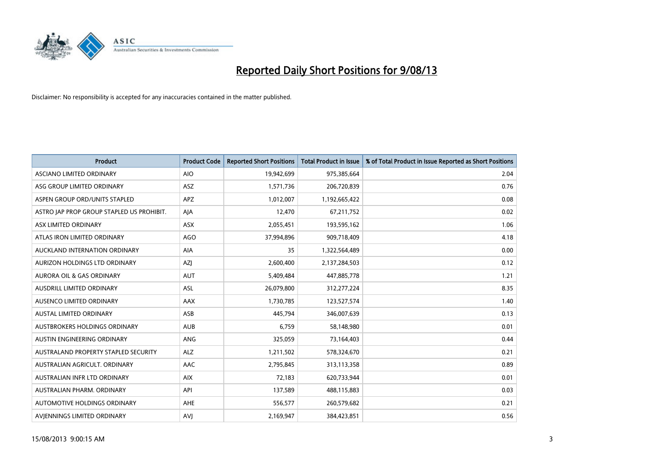

| <b>Product</b>                            | <b>Product Code</b> | <b>Reported Short Positions</b> | Total Product in Issue | % of Total Product in Issue Reported as Short Positions |
|-------------------------------------------|---------------------|---------------------------------|------------------------|---------------------------------------------------------|
| ASCIANO LIMITED ORDINARY                  | <b>AIO</b>          | 19,942,699                      | 975,385,664            | 2.04                                                    |
| ASG GROUP LIMITED ORDINARY                | <b>ASZ</b>          | 1,571,736                       | 206,720,839            | 0.76                                                    |
| ASPEN GROUP ORD/UNITS STAPLED             | <b>APZ</b>          | 1,012,007                       | 1,192,665,422          | 0.08                                                    |
| ASTRO JAP PROP GROUP STAPLED US PROHIBIT. | AJA                 | 12,470                          | 67,211,752             | 0.02                                                    |
| ASX LIMITED ORDINARY                      | ASX                 | 2,055,451                       | 193,595,162            | 1.06                                                    |
| ATLAS IRON LIMITED ORDINARY               | <b>AGO</b>          | 37,994,896                      | 909,718,409            | 4.18                                                    |
| AUCKLAND INTERNATION ORDINARY             | AIA                 | 35                              | 1,322,564,489          | 0.00                                                    |
| AURIZON HOLDINGS LTD ORDINARY             | AZJ                 | 2,600,400                       | 2,137,284,503          | 0.12                                                    |
| <b>AURORA OIL &amp; GAS ORDINARY</b>      | <b>AUT</b>          | 5,409,484                       | 447,885,778            | 1.21                                                    |
| AUSDRILL LIMITED ORDINARY                 | ASL                 | 26,079,800                      | 312,277,224            | 8.35                                                    |
| AUSENCO LIMITED ORDINARY                  | AAX                 | 1,730,785                       | 123,527,574            | 1.40                                                    |
| <b>AUSTAL LIMITED ORDINARY</b>            | ASB                 | 445.794                         | 346,007,639            | 0.13                                                    |
| AUSTBROKERS HOLDINGS ORDINARY             | <b>AUB</b>          | 6,759                           | 58,148,980             | 0.01                                                    |
| AUSTIN ENGINEERING ORDINARY               | ANG                 | 325,059                         | 73,164,403             | 0.44                                                    |
| AUSTRALAND PROPERTY STAPLED SECURITY      | <b>ALZ</b>          | 1,211,502                       | 578,324,670            | 0.21                                                    |
| AUSTRALIAN AGRICULT, ORDINARY             | AAC                 | 2,795,845                       | 313,113,358            | 0.89                                                    |
| AUSTRALIAN INFR LTD ORDINARY              | <b>AIX</b>          | 72,183                          | 620,733,944            | 0.01                                                    |
| AUSTRALIAN PHARM, ORDINARY                | API                 | 137,589                         | 488,115,883            | 0.03                                                    |
| AUTOMOTIVE HOLDINGS ORDINARY              | <b>AHE</b>          | 556,577                         | 260,579,682            | 0.21                                                    |
| AVIENNINGS LIMITED ORDINARY               | <b>AVJ</b>          | 2,169,947                       | 384,423,851            | 0.56                                                    |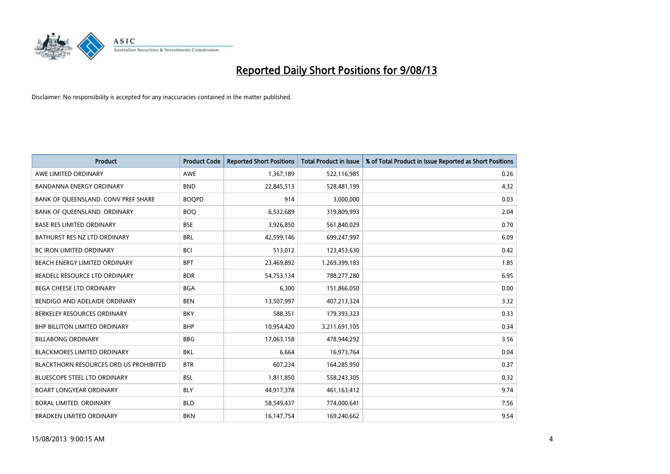

| <b>Product</b>                                | <b>Product Code</b> | <b>Reported Short Positions</b> | Total Product in Issue | % of Total Product in Issue Reported as Short Positions |
|-----------------------------------------------|---------------------|---------------------------------|------------------------|---------------------------------------------------------|
| AWE LIMITED ORDINARY                          | <b>AWE</b>          | 1,367,189                       | 522,116,985            | 0.26                                                    |
| BANDANNA ENERGY ORDINARY                      | <b>BND</b>          | 22,845,513                      | 528,481,199            | 4.32                                                    |
| BANK OF QUEENSLAND. CONV PREF SHARE           | <b>BOOPD</b>        | 914                             | 3,000,000              | 0.03                                                    |
| BANK OF QUEENSLAND. ORDINARY                  | <b>BOQ</b>          | 6,532,689                       | 319,809,993            | 2.04                                                    |
| <b>BASE RES LIMITED ORDINARY</b>              | <b>BSE</b>          | 3,926,850                       | 561,840,029            | 0.70                                                    |
| BATHURST RES NZ LTD ORDINARY                  | <b>BRL</b>          | 42,599,146                      | 699,247,997            | 6.09                                                    |
| <b>BC IRON LIMITED ORDINARY</b>               | <b>BCI</b>          | 513,012                         | 123,453,630            | 0.42                                                    |
| BEACH ENERGY LIMITED ORDINARY                 | <b>BPT</b>          | 23,469,892                      | 1,269,399,183          | 1.85                                                    |
| BEADELL RESOURCE LTD ORDINARY                 | <b>BDR</b>          | 54,753,134                      | 788,277,280            | 6.95                                                    |
| <b>BEGA CHEESE LTD ORDINARY</b>               | <b>BGA</b>          | 6,300                           | 151,866,050            | 0.00                                                    |
| BENDIGO AND ADELAIDE ORDINARY                 | <b>BEN</b>          | 13,507,997                      | 407,213,324            | 3.32                                                    |
| BERKELEY RESOURCES ORDINARY                   | <b>BKY</b>          | 588,351                         | 179,393,323            | 0.33                                                    |
| <b>BHP BILLITON LIMITED ORDINARY</b>          | <b>BHP</b>          | 10,954,420                      | 3,211,691,105          | 0.34                                                    |
| <b>BILLABONG ORDINARY</b>                     | <b>BBG</b>          | 17,063,158                      | 478,944,292            | 3.56                                                    |
| <b>BLACKMORES LIMITED ORDINARY</b>            | <b>BKL</b>          | 6,664                           | 16,973,764             | 0.04                                                    |
| <b>BLACKTHORN RESOURCES ORD US PROHIBITED</b> | <b>BTR</b>          | 607,234                         | 164,285,950            | 0.37                                                    |
| BLUESCOPE STEEL LTD ORDINARY                  | <b>BSL</b>          | 1,811,850                       | 558,243,305            | 0.32                                                    |
| <b>BOART LONGYEAR ORDINARY</b>                | <b>BLY</b>          | 44,917,378                      | 461,163,412            | 9.74                                                    |
| <b>BORAL LIMITED, ORDINARY</b>                | <b>BLD</b>          | 58,549,437                      | 774,000,641            | 7.56                                                    |
| <b>BRADKEN LIMITED ORDINARY</b>               | <b>BKN</b>          | 16,147,754                      | 169,240,662            | 9.54                                                    |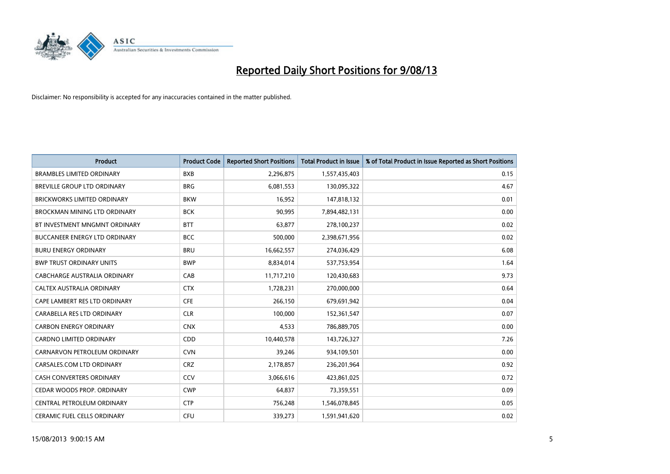

| <b>Product</b>                       | <b>Product Code</b> | <b>Reported Short Positions</b> | Total Product in Issue | % of Total Product in Issue Reported as Short Positions |
|--------------------------------------|---------------------|---------------------------------|------------------------|---------------------------------------------------------|
| <b>BRAMBLES LIMITED ORDINARY</b>     | <b>BXB</b>          | 2,296,875                       | 1,557,435,403          | 0.15                                                    |
| BREVILLE GROUP LTD ORDINARY          | <b>BRG</b>          | 6,081,553                       | 130,095,322            | 4.67                                                    |
| <b>BRICKWORKS LIMITED ORDINARY</b>   | <b>BKW</b>          | 16,952                          | 147,818,132            | 0.01                                                    |
| <b>BROCKMAN MINING LTD ORDINARY</b>  | <b>BCK</b>          | 90,995                          | 7,894,482,131          | 0.00                                                    |
| BT INVESTMENT MNGMNT ORDINARY        | <b>BTT</b>          | 63,877                          | 278,100,237            | 0.02                                                    |
| <b>BUCCANEER ENERGY LTD ORDINARY</b> | <b>BCC</b>          | 500,000                         | 2,398,671,956          | 0.02                                                    |
| <b>BURU ENERGY ORDINARY</b>          | <b>BRU</b>          | 16,662,557                      | 274,036,429            | 6.08                                                    |
| <b>BWP TRUST ORDINARY UNITS</b>      | <b>BWP</b>          | 8,834,014                       | 537,753,954            | 1.64                                                    |
| <b>CABCHARGE AUSTRALIA ORDINARY</b>  | CAB                 | 11,717,210                      | 120,430,683            | 9.73                                                    |
| CALTEX AUSTRALIA ORDINARY            | <b>CTX</b>          | 1,728,231                       | 270,000,000            | 0.64                                                    |
| CAPE LAMBERT RES LTD ORDINARY        | <b>CFE</b>          | 266,150                         | 679,691,942            | 0.04                                                    |
| CARABELLA RES LTD ORDINARY           | <b>CLR</b>          | 100,000                         | 152,361,547            | 0.07                                                    |
| <b>CARBON ENERGY ORDINARY</b>        | <b>CNX</b>          | 4,533                           | 786,889,705            | 0.00                                                    |
| <b>CARDNO LIMITED ORDINARY</b>       | <b>CDD</b>          | 10,440,578                      | 143,726,327            | 7.26                                                    |
| CARNARVON PETROLEUM ORDINARY         | <b>CVN</b>          | 39,246                          | 934,109,501            | 0.00                                                    |
| CARSALES.COM LTD ORDINARY            | <b>CRZ</b>          | 2,178,857                       | 236,201,964            | 0.92                                                    |
| CASH CONVERTERS ORDINARY             | CCV                 | 3,066,616                       | 423,861,025            | 0.72                                                    |
| CEDAR WOODS PROP. ORDINARY           | <b>CWP</b>          | 64.837                          | 73,359,551             | 0.09                                                    |
| CENTRAL PETROLEUM ORDINARY           | <b>CTP</b>          | 756,248                         | 1,546,078,845          | 0.05                                                    |
| CERAMIC FUEL CELLS ORDINARY          | <b>CFU</b>          | 339,273                         | 1,591,941,620          | 0.02                                                    |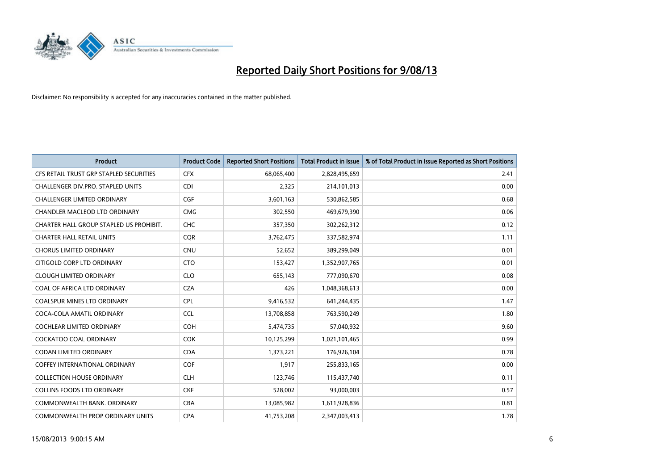

| <b>Product</b>                          | <b>Product Code</b> | <b>Reported Short Positions</b> | <b>Total Product in Issue</b> | % of Total Product in Issue Reported as Short Positions |
|-----------------------------------------|---------------------|---------------------------------|-------------------------------|---------------------------------------------------------|
| CFS RETAIL TRUST GRP STAPLED SECURITIES | <b>CFX</b>          | 68,065,400                      | 2,828,495,659                 | 2.41                                                    |
| CHALLENGER DIV.PRO. STAPLED UNITS       | <b>CDI</b>          | 2,325                           | 214,101,013                   | 0.00                                                    |
| <b>CHALLENGER LIMITED ORDINARY</b>      | <b>CGF</b>          | 3,601,163                       | 530,862,585                   | 0.68                                                    |
| CHANDLER MACLEOD LTD ORDINARY           | <b>CMG</b>          | 302,550                         | 469,679,390                   | 0.06                                                    |
| CHARTER HALL GROUP STAPLED US PROHIBIT. | <b>CHC</b>          | 357,350                         | 302,262,312                   | 0.12                                                    |
| <b>CHARTER HALL RETAIL UNITS</b>        | <b>CQR</b>          | 3,762,475                       | 337,582,974                   | 1.11                                                    |
| <b>CHORUS LIMITED ORDINARY</b>          | <b>CNU</b>          | 52,652                          | 389,299,049                   | 0.01                                                    |
| CITIGOLD CORP LTD ORDINARY              | <b>CTO</b>          | 153,427                         | 1,352,907,765                 | 0.01                                                    |
| <b>CLOUGH LIMITED ORDINARY</b>          | <b>CLO</b>          | 655,143                         | 777,090,670                   | 0.08                                                    |
| COAL OF AFRICA LTD ORDINARY             | <b>CZA</b>          | 426                             | 1,048,368,613                 | 0.00                                                    |
| COALSPUR MINES LTD ORDINARY             | <b>CPL</b>          | 9,416,532                       | 641,244,435                   | 1.47                                                    |
| COCA-COLA AMATIL ORDINARY               | <b>CCL</b>          | 13,708,858                      | 763,590,249                   | 1.80                                                    |
| COCHLEAR LIMITED ORDINARY               | <b>COH</b>          | 5,474,735                       | 57,040,932                    | 9.60                                                    |
| <b>COCKATOO COAL ORDINARY</b>           | <b>COK</b>          | 10,125,299                      | 1,021,101,465                 | 0.99                                                    |
| <b>CODAN LIMITED ORDINARY</b>           | <b>CDA</b>          | 1,373,221                       | 176,926,104                   | 0.78                                                    |
| COFFEY INTERNATIONAL ORDINARY           | <b>COF</b>          | 1,917                           | 255,833,165                   | 0.00                                                    |
| <b>COLLECTION HOUSE ORDINARY</b>        | <b>CLH</b>          | 123,746                         | 115,437,740                   | 0.11                                                    |
| <b>COLLINS FOODS LTD ORDINARY</b>       | <b>CKF</b>          | 528,002                         | 93,000,003                    | 0.57                                                    |
| COMMONWEALTH BANK, ORDINARY             | <b>CBA</b>          | 13,085,982                      | 1,611,928,836                 | 0.81                                                    |
| COMMONWEALTH PROP ORDINARY UNITS        | <b>CPA</b>          | 41,753,208                      | 2,347,003,413                 | 1.78                                                    |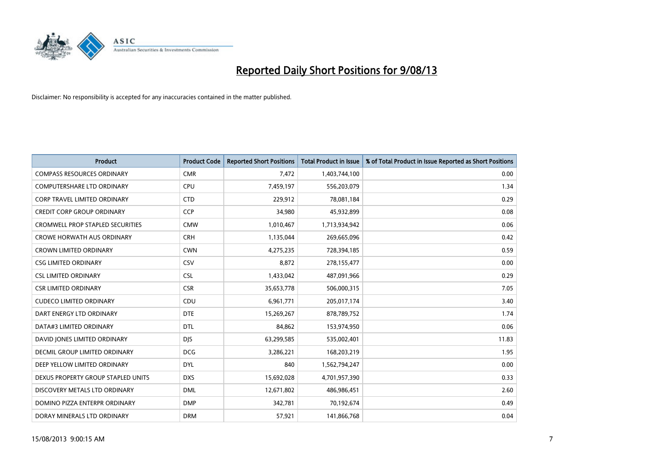

| <b>Product</b>                          | <b>Product Code</b> | <b>Reported Short Positions</b> | <b>Total Product in Issue</b> | % of Total Product in Issue Reported as Short Positions |
|-----------------------------------------|---------------------|---------------------------------|-------------------------------|---------------------------------------------------------|
| <b>COMPASS RESOURCES ORDINARY</b>       | <b>CMR</b>          | 7,472                           | 1,403,744,100                 | 0.00                                                    |
| <b>COMPUTERSHARE LTD ORDINARY</b>       | <b>CPU</b>          | 7,459,197                       | 556,203,079                   | 1.34                                                    |
| <b>CORP TRAVEL LIMITED ORDINARY</b>     | <b>CTD</b>          | 229,912                         | 78,081,184                    | 0.29                                                    |
| <b>CREDIT CORP GROUP ORDINARY</b>       | <b>CCP</b>          | 34,980                          | 45,932,899                    | 0.08                                                    |
| <b>CROMWELL PROP STAPLED SECURITIES</b> | <b>CMW</b>          | 1,010,467                       | 1,713,934,942                 | 0.06                                                    |
| <b>CROWE HORWATH AUS ORDINARY</b>       | <b>CRH</b>          | 1,135,044                       | 269,665,096                   | 0.42                                                    |
| <b>CROWN LIMITED ORDINARY</b>           | <b>CWN</b>          | 4,275,235                       | 728,394,185                   | 0.59                                                    |
| <b>CSG LIMITED ORDINARY</b>             | <b>CSV</b>          | 8,872                           | 278,155,477                   | 0.00                                                    |
| <b>CSL LIMITED ORDINARY</b>             | <b>CSL</b>          | 1,433,042                       | 487,091,966                   | 0.29                                                    |
| <b>CSR LIMITED ORDINARY</b>             | <b>CSR</b>          | 35,653,778                      | 506,000,315                   | 7.05                                                    |
| <b>CUDECO LIMITED ORDINARY</b>          | CDU                 | 6,961,771                       | 205,017,174                   | 3.40                                                    |
| DART ENERGY LTD ORDINARY                | <b>DTE</b>          | 15,269,267                      | 878,789,752                   | 1.74                                                    |
| DATA#3 LIMITED ORDINARY                 | <b>DTL</b>          | 84,862                          | 153,974,950                   | 0.06                                                    |
| DAVID JONES LIMITED ORDINARY            | <b>DJS</b>          | 63,299,585                      | 535,002,401                   | 11.83                                                   |
| DECMIL GROUP LIMITED ORDINARY           | <b>DCG</b>          | 3,286,221                       | 168,203,219                   | 1.95                                                    |
| DEEP YELLOW LIMITED ORDINARY            | <b>DYL</b>          | 840                             | 1,562,794,247                 | 0.00                                                    |
| DEXUS PROPERTY GROUP STAPLED UNITS      | <b>DXS</b>          | 15,692,028                      | 4,701,957,390                 | 0.33                                                    |
| DISCOVERY METALS LTD ORDINARY           | <b>DML</b>          | 12,671,802                      | 486,986,451                   | 2.60                                                    |
| DOMINO PIZZA ENTERPR ORDINARY           | <b>DMP</b>          | 342,781                         | 70,192,674                    | 0.49                                                    |
| DORAY MINERALS LTD ORDINARY             | <b>DRM</b>          | 57,921                          | 141,866,768                   | 0.04                                                    |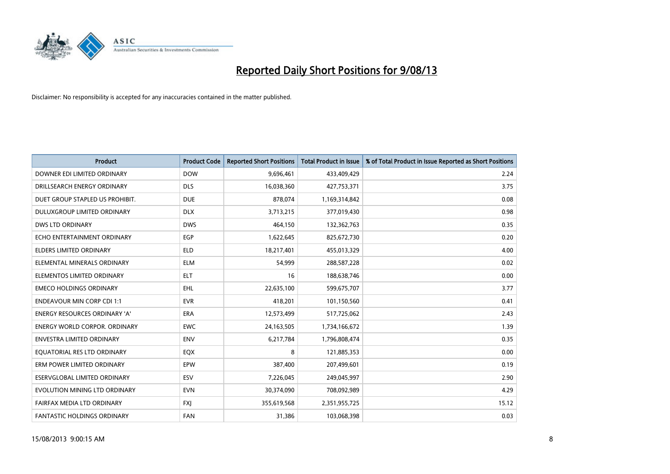

| <b>Product</b>                       | <b>Product Code</b> | <b>Reported Short Positions</b> | <b>Total Product in Issue</b> | % of Total Product in Issue Reported as Short Positions |
|--------------------------------------|---------------------|---------------------------------|-------------------------------|---------------------------------------------------------|
| DOWNER EDI LIMITED ORDINARY          | <b>DOW</b>          | 9,696,461                       | 433,409,429                   | 2.24                                                    |
| DRILLSEARCH ENERGY ORDINARY          | <b>DLS</b>          | 16,038,360                      | 427,753,371                   | 3.75                                                    |
| DUET GROUP STAPLED US PROHIBIT.      | <b>DUE</b>          | 878,074                         | 1,169,314,842                 | 0.08                                                    |
| DULUXGROUP LIMITED ORDINARY          | <b>DLX</b>          | 3,713,215                       | 377,019,430                   | 0.98                                                    |
| <b>DWS LTD ORDINARY</b>              | <b>DWS</b>          | 464,150                         | 132,362,763                   | 0.35                                                    |
| ECHO ENTERTAINMENT ORDINARY          | EGP                 | 1,622,645                       | 825,672,730                   | 0.20                                                    |
| <b>ELDERS LIMITED ORDINARY</b>       | <b>ELD</b>          | 18,217,401                      | 455,013,329                   | 4.00                                                    |
| ELEMENTAL MINERALS ORDINARY          | <b>ELM</b>          | 54,999                          | 288,587,228                   | 0.02                                                    |
| ELEMENTOS LIMITED ORDINARY           | <b>ELT</b>          | 16                              | 188,638,746                   | 0.00                                                    |
| <b>EMECO HOLDINGS ORDINARY</b>       | EHL                 | 22,635,100                      | 599,675,707                   | 3.77                                                    |
| <b>ENDEAVOUR MIN CORP CDI 1:1</b>    | <b>EVR</b>          | 418,201                         | 101,150,560                   | 0.41                                                    |
| <b>ENERGY RESOURCES ORDINARY 'A'</b> | ERA                 | 12,573,499                      | 517,725,062                   | 2.43                                                    |
| <b>ENERGY WORLD CORPOR. ORDINARY</b> | <b>EWC</b>          | 24,163,505                      | 1,734,166,672                 | 1.39                                                    |
| <b>ENVESTRA LIMITED ORDINARY</b>     | <b>ENV</b>          | 6,217,784                       | 1,796,808,474                 | 0.35                                                    |
| EQUATORIAL RES LTD ORDINARY          | EQX                 | 8                               | 121,885,353                   | 0.00                                                    |
| ERM POWER LIMITED ORDINARY           | <b>EPW</b>          | 387,400                         | 207,499,601                   | 0.19                                                    |
| ESERVGLOBAL LIMITED ORDINARY         | <b>ESV</b>          | 7,226,045                       | 249,045,997                   | 2.90                                                    |
| EVOLUTION MINING LTD ORDINARY        | <b>EVN</b>          | 30,374,090                      | 708,092,989                   | 4.29                                                    |
| FAIRFAX MEDIA LTD ORDINARY           | <b>FXI</b>          | 355,619,568                     | 2,351,955,725                 | 15.12                                                   |
| <b>FANTASTIC HOLDINGS ORDINARY</b>   | <b>FAN</b>          | 31,386                          | 103,068,398                   | 0.03                                                    |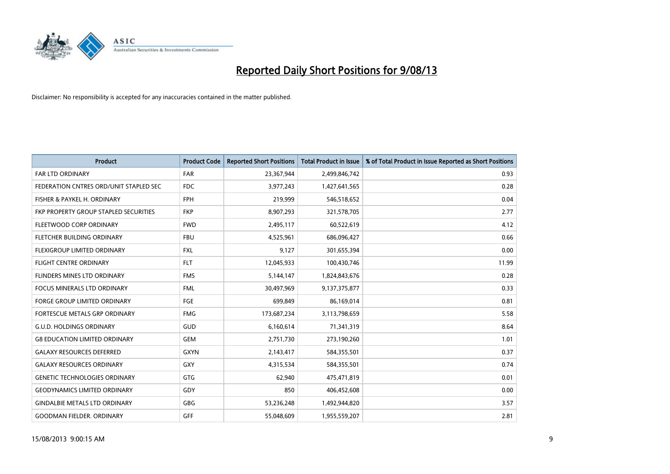

| <b>Product</b>                         | <b>Product Code</b> | <b>Reported Short Positions</b> | <b>Total Product in Issue</b> | % of Total Product in Issue Reported as Short Positions |
|----------------------------------------|---------------------|---------------------------------|-------------------------------|---------------------------------------------------------|
| <b>FAR LTD ORDINARY</b>                | <b>FAR</b>          | 23,367,944                      | 2,499,846,742                 | 0.93                                                    |
| FEDERATION CNTRES ORD/UNIT STAPLED SEC | <b>FDC</b>          | 3,977,243                       | 1,427,641,565                 | 0.28                                                    |
| FISHER & PAYKEL H. ORDINARY            | <b>FPH</b>          | 219,999                         | 546,518,652                   | 0.04                                                    |
| FKP PROPERTY GROUP STAPLED SECURITIES  | <b>FKP</b>          | 8,907,293                       | 321,578,705                   | 2.77                                                    |
| FLEETWOOD CORP ORDINARY                | <b>FWD</b>          | 2,495,117                       | 60,522,619                    | 4.12                                                    |
| FLETCHER BUILDING ORDINARY             | <b>FBU</b>          | 4,525,961                       | 686,096,427                   | 0.66                                                    |
| FLEXIGROUP LIMITED ORDINARY            | <b>FXL</b>          | 9,127                           | 301,655,394                   | 0.00                                                    |
| <b>FLIGHT CENTRE ORDINARY</b>          | <b>FLT</b>          | 12,045,933                      | 100,430,746                   | 11.99                                                   |
| FLINDERS MINES LTD ORDINARY            | <b>FMS</b>          | 5,144,147                       | 1,824,843,676                 | 0.28                                                    |
| FOCUS MINERALS LTD ORDINARY            | <b>FML</b>          | 30,497,969                      | 9,137,375,877                 | 0.33                                                    |
| FORGE GROUP LIMITED ORDINARY           | FGE                 | 699,849                         | 86,169,014                    | 0.81                                                    |
| FORTESCUE METALS GRP ORDINARY          | <b>FMG</b>          | 173,687,234                     | 3,113,798,659                 | 5.58                                                    |
| <b>G.U.D. HOLDINGS ORDINARY</b>        | <b>GUD</b>          | 6,160,614                       | 71,341,319                    | 8.64                                                    |
| <b>G8 EDUCATION LIMITED ORDINARY</b>   | GEM                 | 2,751,730                       | 273,190,260                   | 1.01                                                    |
| <b>GALAXY RESOURCES DEFERRED</b>       | <b>GXYN</b>         | 2,143,417                       | 584,355,501                   | 0.37                                                    |
| <b>GALAXY RESOURCES ORDINARY</b>       | GXY                 | 4,315,534                       | 584,355,501                   | 0.74                                                    |
| <b>GENETIC TECHNOLOGIES ORDINARY</b>   | GTG                 | 62,940                          | 475,471,819                   | 0.01                                                    |
| <b>GEODYNAMICS LIMITED ORDINARY</b>    | GDY                 | 850                             | 406,452,608                   | 0.00                                                    |
| <b>GINDALBIE METALS LTD ORDINARY</b>   | GBG                 | 53,236,248                      | 1,492,944,820                 | 3.57                                                    |
| <b>GOODMAN FIELDER, ORDINARY</b>       | <b>GFF</b>          | 55,048,609                      | 1,955,559,207                 | 2.81                                                    |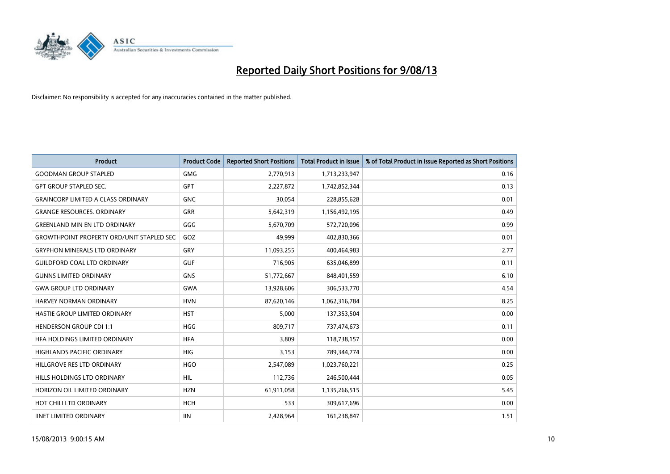

| Product                                          | <b>Product Code</b> | <b>Reported Short Positions</b> | Total Product in Issue | % of Total Product in Issue Reported as Short Positions |
|--------------------------------------------------|---------------------|---------------------------------|------------------------|---------------------------------------------------------|
| <b>GOODMAN GROUP STAPLED</b>                     | <b>GMG</b>          | 2,770,913                       | 1,713,233,947          | 0.16                                                    |
| <b>GPT GROUP STAPLED SEC.</b>                    | <b>GPT</b>          | 2,227,872                       | 1,742,852,344          | 0.13                                                    |
| <b>GRAINCORP LIMITED A CLASS ORDINARY</b>        | <b>GNC</b>          | 30,054                          | 228,855,628            | 0.01                                                    |
| <b>GRANGE RESOURCES, ORDINARY</b>                | <b>GRR</b>          | 5,642,319                       | 1,156,492,195          | 0.49                                                    |
| <b>GREENLAND MIN EN LTD ORDINARY</b>             | GGG                 | 5,670,709                       | 572,720,096            | 0.99                                                    |
| <b>GROWTHPOINT PROPERTY ORD/UNIT STAPLED SEC</b> | GOZ                 | 49.999                          | 402,830,366            | 0.01                                                    |
| <b>GRYPHON MINERALS LTD ORDINARY</b>             | GRY                 | 11,093,255                      | 400,464,983            | 2.77                                                    |
| <b>GUILDFORD COAL LTD ORDINARY</b>               | <b>GUF</b>          | 716,905                         | 635,046,899            | 0.11                                                    |
| <b>GUNNS LIMITED ORDINARY</b>                    | <b>GNS</b>          | 51,772,667                      | 848,401,559            | 6.10                                                    |
| <b>GWA GROUP LTD ORDINARY</b>                    | <b>GWA</b>          | 13,928,606                      | 306,533,770            | 4.54                                                    |
| <b>HARVEY NORMAN ORDINARY</b>                    | <b>HVN</b>          | 87,620,146                      | 1,062,316,784          | 8.25                                                    |
| HASTIE GROUP LIMITED ORDINARY                    | <b>HST</b>          | 5,000                           | 137,353,504            | 0.00                                                    |
| <b>HENDERSON GROUP CDI 1:1</b>                   | <b>HGG</b>          | 809,717                         | 737,474,673            | 0.11                                                    |
| HFA HOLDINGS LIMITED ORDINARY                    | <b>HFA</b>          | 3,809                           | 118,738,157            | 0.00                                                    |
| HIGHLANDS PACIFIC ORDINARY                       | <b>HIG</b>          | 3,153                           | 789,344,774            | 0.00                                                    |
| HILLGROVE RES LTD ORDINARY                       | <b>HGO</b>          | 2,547,089                       | 1,023,760,221          | 0.25                                                    |
| HILLS HOLDINGS LTD ORDINARY                      | <b>HIL</b>          | 112,736                         | 246,500,444            | 0.05                                                    |
| HORIZON OIL LIMITED ORDINARY                     | <b>HZN</b>          | 61,911,058                      | 1,135,266,515          | 5.45                                                    |
| HOT CHILI LTD ORDINARY                           | <b>HCH</b>          | 533                             | 309,617,696            | 0.00                                                    |
| <b>IINET LIMITED ORDINARY</b>                    | <b>IIN</b>          | 2,428,964                       | 161,238,847            | 1.51                                                    |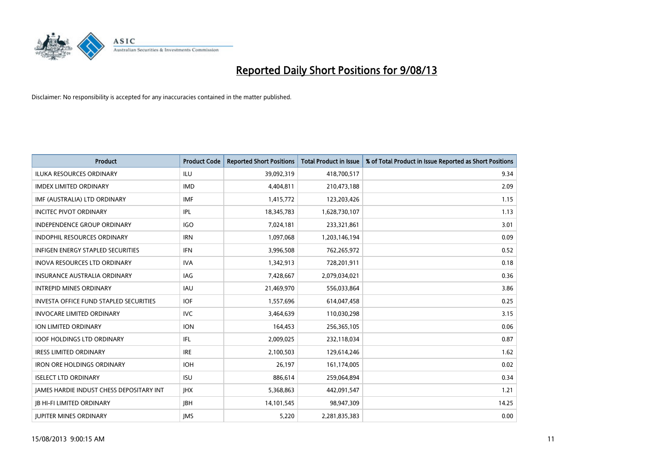

| <b>Product</b>                                | <b>Product Code</b> | <b>Reported Short Positions</b> | <b>Total Product in Issue</b> | % of Total Product in Issue Reported as Short Positions |
|-----------------------------------------------|---------------------|---------------------------------|-------------------------------|---------------------------------------------------------|
| <b>ILUKA RESOURCES ORDINARY</b>               | ILU                 | 39,092,319                      | 418,700,517                   | 9.34                                                    |
| <b>IMDEX LIMITED ORDINARY</b>                 | <b>IMD</b>          | 4,404,811                       | 210,473,188                   | 2.09                                                    |
| IMF (AUSTRALIA) LTD ORDINARY                  | <b>IMF</b>          | 1,415,772                       | 123,203,426                   | 1.15                                                    |
| <b>INCITEC PIVOT ORDINARY</b>                 | IPL                 | 18,345,783                      | 1,628,730,107                 | 1.13                                                    |
| <b>INDEPENDENCE GROUP ORDINARY</b>            | <b>IGO</b>          | 7,024,181                       | 233,321,861                   | 3.01                                                    |
| <b>INDOPHIL RESOURCES ORDINARY</b>            | <b>IRN</b>          | 1,097,068                       | 1,203,146,194                 | 0.09                                                    |
| <b>INFIGEN ENERGY STAPLED SECURITIES</b>      | <b>IFN</b>          | 3,996,508                       | 762,265,972                   | 0.52                                                    |
| <b>INOVA RESOURCES LTD ORDINARY</b>           | <b>IVA</b>          | 1,342,913                       | 728,201,911                   | 0.18                                                    |
| INSURANCE AUSTRALIA ORDINARY                  | IAG                 | 7,428,667                       | 2,079,034,021                 | 0.36                                                    |
| <b>INTREPID MINES ORDINARY</b>                | <b>IAU</b>          | 21,469,970                      | 556,033,864                   | 3.86                                                    |
| <b>INVESTA OFFICE FUND STAPLED SECURITIES</b> | <b>IOF</b>          | 1,557,696                       | 614,047,458                   | 0.25                                                    |
| <b>INVOCARE LIMITED ORDINARY</b>              | IVC                 | 3,464,639                       | 110,030,298                   | 3.15                                                    |
| ION LIMITED ORDINARY                          | <b>ION</b>          | 164,453                         | 256,365,105                   | 0.06                                                    |
| <b>IOOF HOLDINGS LTD ORDINARY</b>             | IFL                 | 2,009,025                       | 232,118,034                   | 0.87                                                    |
| <b>IRESS LIMITED ORDINARY</b>                 | <b>IRE</b>          | 2,100,503                       | 129,614,246                   | 1.62                                                    |
| <b>IRON ORE HOLDINGS ORDINARY</b>             | <b>IOH</b>          | 26,197                          | 161,174,005                   | 0.02                                                    |
| <b>ISELECT LTD ORDINARY</b>                   | <b>ISU</b>          | 886,614                         | 259,064,894                   | 0.34                                                    |
| JAMES HARDIE INDUST CHESS DEPOSITARY INT      | <b>JHX</b>          | 5,368,863                       | 442,091,547                   | 1.21                                                    |
| <b>JB HI-FI LIMITED ORDINARY</b>              | <b>IBH</b>          | 14,101,545                      | 98,947,309                    | 14.25                                                   |
| <b>JUPITER MINES ORDINARY</b>                 | <b>IMS</b>          | 5,220                           | 2,281,835,383                 | 0.00                                                    |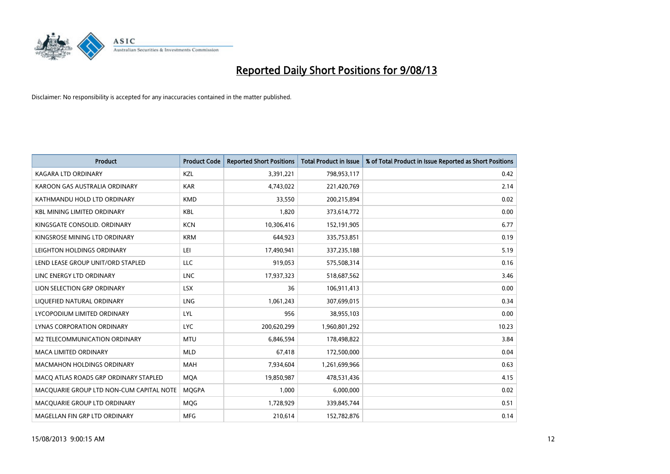

| <b>Product</b>                           | <b>Product Code</b> | <b>Reported Short Positions</b> | <b>Total Product in Issue</b> | % of Total Product in Issue Reported as Short Positions |
|------------------------------------------|---------------------|---------------------------------|-------------------------------|---------------------------------------------------------|
| <b>KAGARA LTD ORDINARY</b>               | KZL                 | 3,391,221                       | 798,953,117                   | 0.42                                                    |
| KAROON GAS AUSTRALIA ORDINARY            | <b>KAR</b>          | 4,743,022                       | 221,420,769                   | 2.14                                                    |
| KATHMANDU HOLD LTD ORDINARY              | <b>KMD</b>          | 33,550                          | 200,215,894                   | 0.02                                                    |
| <b>KBL MINING LIMITED ORDINARY</b>       | <b>KBL</b>          | 1,820                           | 373,614,772                   | 0.00                                                    |
| KINGSGATE CONSOLID. ORDINARY             | <b>KCN</b>          | 10,306,416                      | 152,191,905                   | 6.77                                                    |
| KINGSROSE MINING LTD ORDINARY            | <b>KRM</b>          | 644,923                         | 335,753,851                   | 0.19                                                    |
| LEIGHTON HOLDINGS ORDINARY               | LEI                 | 17,490,941                      | 337,235,188                   | 5.19                                                    |
| LEND LEASE GROUP UNIT/ORD STAPLED        | <b>LLC</b>          | 919,053                         | 575,508,314                   | 0.16                                                    |
| LINC ENERGY LTD ORDINARY                 | <b>LNC</b>          | 17,937,323                      | 518,687,562                   | 3.46                                                    |
| LION SELECTION GRP ORDINARY              | <b>LSX</b>          | 36                              | 106,911,413                   | 0.00                                                    |
| LIQUEFIED NATURAL ORDINARY               | <b>LNG</b>          | 1,061,243                       | 307,699,015                   | 0.34                                                    |
| LYCOPODIUM LIMITED ORDINARY              | LYL                 | 956                             | 38,955,103                    | 0.00                                                    |
| LYNAS CORPORATION ORDINARY               | <b>LYC</b>          | 200,620,299                     | 1,960,801,292                 | 10.23                                                   |
| M2 TELECOMMUNICATION ORDINARY            | <b>MTU</b>          | 6,846,594                       | 178,498,822                   | 3.84                                                    |
| MACA LIMITED ORDINARY                    | <b>MLD</b>          | 67,418                          | 172,500,000                   | 0.04                                                    |
| MACMAHON HOLDINGS ORDINARY               | <b>MAH</b>          | 7,934,604                       | 1,261,699,966                 | 0.63                                                    |
| MACO ATLAS ROADS GRP ORDINARY STAPLED    | <b>MQA</b>          | 19,850,987                      | 478,531,436                   | 4.15                                                    |
| MACOUARIE GROUP LTD NON-CUM CAPITAL NOTE | <b>MOGPA</b>        | 1.000                           | 6,000,000                     | 0.02                                                    |
| MACQUARIE GROUP LTD ORDINARY             | <b>MQG</b>          | 1,728,929                       | 339,845,744                   | 0.51                                                    |
| MAGELLAN FIN GRP LTD ORDINARY            | <b>MFG</b>          | 210,614                         | 152,782,876                   | 0.14                                                    |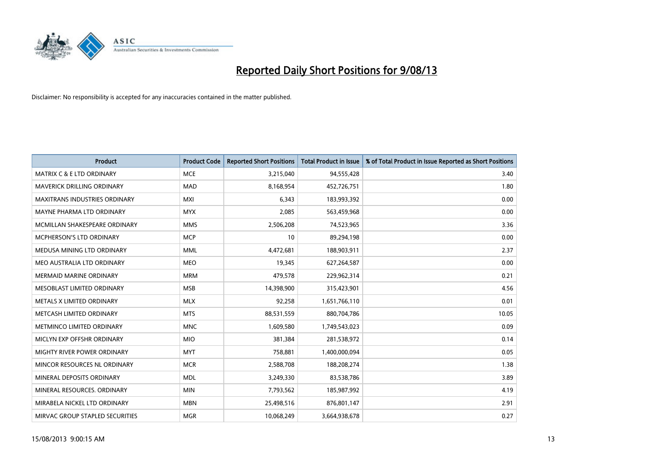

| <b>Product</b>                       | <b>Product Code</b> | <b>Reported Short Positions</b> | <b>Total Product in Issue</b> | % of Total Product in Issue Reported as Short Positions |
|--------------------------------------|---------------------|---------------------------------|-------------------------------|---------------------------------------------------------|
| <b>MATRIX C &amp; E LTD ORDINARY</b> | <b>MCE</b>          | 3,215,040                       | 94,555,428                    | 3.40                                                    |
| <b>MAVERICK DRILLING ORDINARY</b>    | <b>MAD</b>          | 8,168,954                       | 452,726,751                   | 1.80                                                    |
| <b>MAXITRANS INDUSTRIES ORDINARY</b> | <b>MXI</b>          | 6,343                           | 183,993,392                   | 0.00                                                    |
| MAYNE PHARMA LTD ORDINARY            | <b>MYX</b>          | 2,085                           | 563,459,968                   | 0.00                                                    |
| MCMILLAN SHAKESPEARE ORDINARY        | <b>MMS</b>          | 2,506,208                       | 74,523,965                    | 3.36                                                    |
| MCPHERSON'S LTD ORDINARY             | <b>MCP</b>          | 10                              | 89,294,198                    | 0.00                                                    |
| MEDUSA MINING LTD ORDINARY           | <b>MML</b>          | 4,472,681                       | 188,903,911                   | 2.37                                                    |
| MEO AUSTRALIA LTD ORDINARY           | <b>MEO</b>          | 19,345                          | 627,264,587                   | 0.00                                                    |
| <b>MERMAID MARINE ORDINARY</b>       | <b>MRM</b>          | 479,578                         | 229,962,314                   | 0.21                                                    |
| MESOBLAST LIMITED ORDINARY           | <b>MSB</b>          | 14,398,900                      | 315,423,901                   | 4.56                                                    |
| METALS X LIMITED ORDINARY            | <b>MLX</b>          | 92,258                          | 1,651,766,110                 | 0.01                                                    |
| METCASH LIMITED ORDINARY             | <b>MTS</b>          | 88,531,559                      | 880,704,786                   | 10.05                                                   |
| METMINCO LIMITED ORDINARY            | <b>MNC</b>          | 1,609,580                       | 1,749,543,023                 | 0.09                                                    |
| MICLYN EXP OFFSHR ORDINARY           | <b>MIO</b>          | 381,384                         | 281,538,972                   | 0.14                                                    |
| MIGHTY RIVER POWER ORDINARY          | <b>MYT</b>          | 758,881                         | 1,400,000,094                 | 0.05                                                    |
| MINCOR RESOURCES NL ORDINARY         | <b>MCR</b>          | 2,588,708                       | 188,208,274                   | 1.38                                                    |
| MINERAL DEPOSITS ORDINARY            | <b>MDL</b>          | 3,249,330                       | 83,538,786                    | 3.89                                                    |
| MINERAL RESOURCES, ORDINARY          | <b>MIN</b>          | 7,793,562                       | 185,987,992                   | 4.19                                                    |
| MIRABELA NICKEL LTD ORDINARY         | <b>MBN</b>          | 25,498,516                      | 876,801,147                   | 2.91                                                    |
| MIRVAC GROUP STAPLED SECURITIES      | <b>MGR</b>          | 10,068,249                      | 3,664,938,678                 | 0.27                                                    |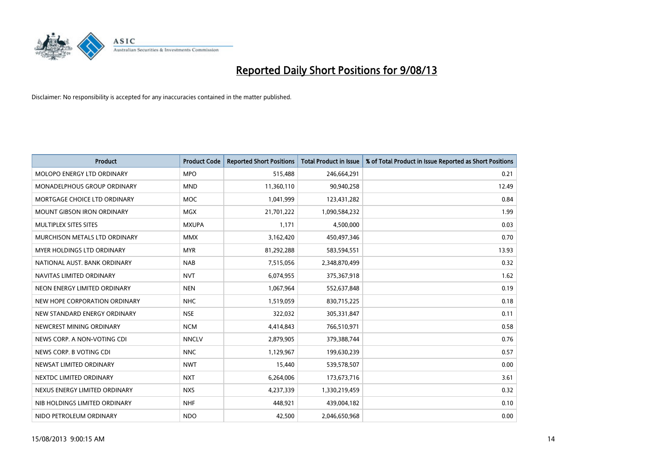

| <b>Product</b>                    | <b>Product Code</b> | <b>Reported Short Positions</b> | <b>Total Product in Issue</b> | % of Total Product in Issue Reported as Short Positions |
|-----------------------------------|---------------------|---------------------------------|-------------------------------|---------------------------------------------------------|
| MOLOPO ENERGY LTD ORDINARY        | <b>MPO</b>          | 515,488                         | 246,664,291                   | 0.21                                                    |
| MONADELPHOUS GROUP ORDINARY       | <b>MND</b>          | 11,360,110                      | 90,940,258                    | 12.49                                                   |
| MORTGAGE CHOICE LTD ORDINARY      | <b>MOC</b>          | 1,041,999                       | 123,431,282                   | 0.84                                                    |
| <b>MOUNT GIBSON IRON ORDINARY</b> | <b>MGX</b>          | 21,701,222                      | 1,090,584,232                 | 1.99                                                    |
| MULTIPLEX SITES SITES             | <b>MXUPA</b>        | 1,171                           | 4,500,000                     | 0.03                                                    |
| MURCHISON METALS LTD ORDINARY     | <b>MMX</b>          | 3,162,420                       | 450,497,346                   | 0.70                                                    |
| MYER HOLDINGS LTD ORDINARY        | <b>MYR</b>          | 81,292,288                      | 583,594,551                   | 13.93                                                   |
| NATIONAL AUST, BANK ORDINARY      | <b>NAB</b>          | 7,515,056                       | 2,348,870,499                 | 0.32                                                    |
| NAVITAS LIMITED ORDINARY          | <b>NVT</b>          | 6,074,955                       | 375,367,918                   | 1.62                                                    |
| NEON ENERGY LIMITED ORDINARY      | <b>NEN</b>          | 1,067,964                       | 552,637,848                   | 0.19                                                    |
| NEW HOPE CORPORATION ORDINARY     | <b>NHC</b>          | 1,519,059                       | 830,715,225                   | 0.18                                                    |
| NEW STANDARD ENERGY ORDINARY      | <b>NSE</b>          | 322,032                         | 305,331,847                   | 0.11                                                    |
| NEWCREST MINING ORDINARY          | <b>NCM</b>          | 4,414,843                       | 766,510,971                   | 0.58                                                    |
| NEWS CORP. A NON-VOTING CDI       | <b>NNCLV</b>        | 2,879,905                       | 379,388,744                   | 0.76                                                    |
| NEWS CORP. B VOTING CDI           | <b>NNC</b>          | 1,129,967                       | 199,630,239                   | 0.57                                                    |
| NEWSAT LIMITED ORDINARY           | <b>NWT</b>          | 15,440                          | 539,578,507                   | 0.00                                                    |
| NEXTDC LIMITED ORDINARY           | <b>NXT</b>          | 6,264,006                       | 173,673,716                   | 3.61                                                    |
| NEXUS ENERGY LIMITED ORDINARY     | <b>NXS</b>          | 4,237,339                       | 1,330,219,459                 | 0.32                                                    |
| NIB HOLDINGS LIMITED ORDINARY     | <b>NHF</b>          | 448,921                         | 439,004,182                   | 0.10                                                    |
| NIDO PETROLEUM ORDINARY           | <b>NDO</b>          | 42,500                          | 2,046,650,968                 | 0.00                                                    |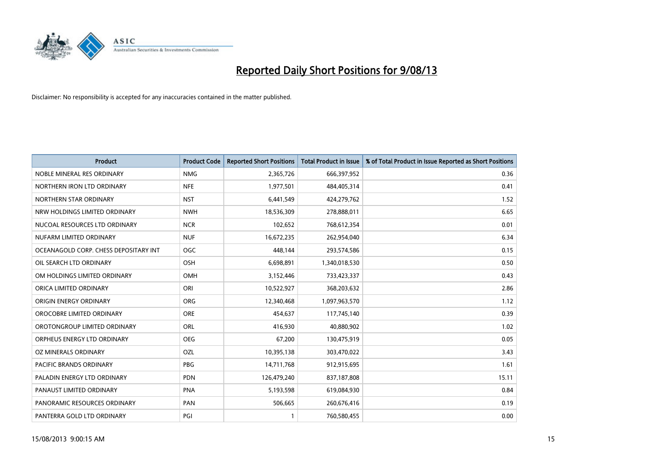

| <b>Product</b>                        | <b>Product Code</b> | <b>Reported Short Positions</b> | Total Product in Issue | % of Total Product in Issue Reported as Short Positions |
|---------------------------------------|---------------------|---------------------------------|------------------------|---------------------------------------------------------|
| NOBLE MINERAL RES ORDINARY            | <b>NMG</b>          | 2,365,726                       | 666,397,952            | 0.36                                                    |
| NORTHERN IRON LTD ORDINARY            | <b>NFE</b>          | 1,977,501                       | 484,405,314            | 0.41                                                    |
| NORTHERN STAR ORDINARY                | <b>NST</b>          | 6,441,549                       | 424,279,762            | 1.52                                                    |
| NRW HOLDINGS LIMITED ORDINARY         | <b>NWH</b>          | 18,536,309                      | 278,888,011            | 6.65                                                    |
| NUCOAL RESOURCES LTD ORDINARY         | <b>NCR</b>          | 102,652                         | 768,612,354            | 0.01                                                    |
| NUFARM LIMITED ORDINARY               | <b>NUF</b>          | 16,672,235                      | 262,954,040            | 6.34                                                    |
| OCEANAGOLD CORP. CHESS DEPOSITARY INT | <b>OGC</b>          | 448,144                         | 293,574,586            | 0.15                                                    |
| OIL SEARCH LTD ORDINARY               | OSH                 | 6,698,891                       | 1,340,018,530          | 0.50                                                    |
| OM HOLDINGS LIMITED ORDINARY          | <b>OMH</b>          | 3,152,446                       | 733,423,337            | 0.43                                                    |
| ORICA LIMITED ORDINARY                | ORI                 | 10,522,927                      | 368,203,632            | 2.86                                                    |
| ORIGIN ENERGY ORDINARY                | <b>ORG</b>          | 12,340,468                      | 1,097,963,570          | 1.12                                                    |
| OROCOBRE LIMITED ORDINARY             | <b>ORE</b>          | 454,637                         | 117,745,140            | 0.39                                                    |
| OROTONGROUP LIMITED ORDINARY          | <b>ORL</b>          | 416,930                         | 40.880.902             | 1.02                                                    |
| ORPHEUS ENERGY LTD ORDINARY           | <b>OEG</b>          | 67,200                          | 130,475,919            | 0.05                                                    |
| OZ MINERALS ORDINARY                  | OZL                 | 10,395,138                      | 303,470,022            | 3.43                                                    |
| PACIFIC BRANDS ORDINARY               | <b>PBG</b>          | 14,711,768                      | 912,915,695            | 1.61                                                    |
| PALADIN ENERGY LTD ORDINARY           | <b>PDN</b>          | 126,479,240                     | 837,187,808            | 15.11                                                   |
| PANAUST LIMITED ORDINARY              | <b>PNA</b>          | 5,193,598                       | 619,084,930            | 0.84                                                    |
| PANORAMIC RESOURCES ORDINARY          | PAN                 | 506,665                         | 260,676,416            | 0.19                                                    |
| PANTERRA GOLD LTD ORDINARY            | PGI                 |                                 | 760,580,455            | 0.00                                                    |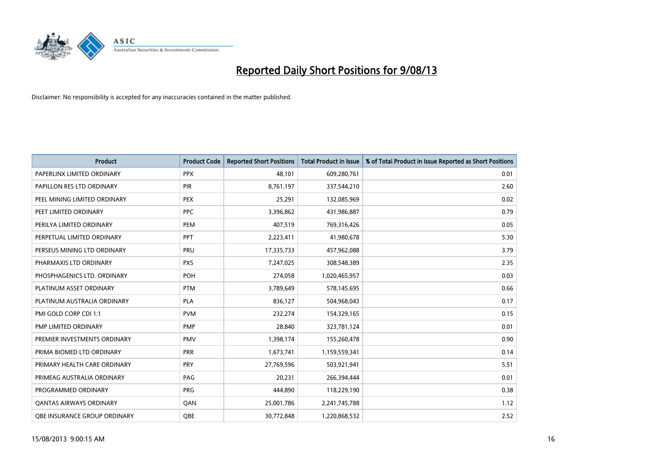

| <b>Product</b>                 | <b>Product Code</b> | <b>Reported Short Positions</b> | <b>Total Product in Issue</b> | % of Total Product in Issue Reported as Short Positions |
|--------------------------------|---------------------|---------------------------------|-------------------------------|---------------------------------------------------------|
| PAPERLINX LIMITED ORDINARY     | <b>PPX</b>          | 48,101                          | 609,280,761                   | 0.01                                                    |
| PAPILLON RES LTD ORDINARY      | <b>PIR</b>          | 8,761,197                       | 337,544,210                   | 2.60                                                    |
| PEEL MINING LIMITED ORDINARY   | <b>PEX</b>          | 25,291                          | 132,085,969                   | 0.02                                                    |
| PEET LIMITED ORDINARY          | <b>PPC</b>          | 3,396,862                       | 431,986,887                   | 0.79                                                    |
| PERILYA LIMITED ORDINARY       | PEM                 | 407,519                         | 769,316,426                   | 0.05                                                    |
| PERPETUAL LIMITED ORDINARY     | PPT                 | 2,223,411                       | 41,980,678                    | 5.30                                                    |
| PERSEUS MINING LTD ORDINARY    | PRU                 | 17,335,733                      | 457,962,088                   | 3.79                                                    |
| PHARMAXIS LTD ORDINARY         | <b>PXS</b>          | 7,247,025                       | 308,548,389                   | 2.35                                                    |
| PHOSPHAGENICS LTD. ORDINARY    | <b>POH</b>          | 274,058                         | 1,020,465,957                 | 0.03                                                    |
| PLATINUM ASSET ORDINARY        | <b>PTM</b>          | 3,789,649                       | 578,145,695                   | 0.66                                                    |
| PLATINUM AUSTRALIA ORDINARY    | <b>PLA</b>          | 836,127                         | 504,968,043                   | 0.17                                                    |
| PMI GOLD CORP CDI 1:1          | <b>PVM</b>          | 232,274                         | 154,329,165                   | 0.15                                                    |
| PMP LIMITED ORDINARY           | <b>PMP</b>          | 28,840                          | 323,781,124                   | 0.01                                                    |
| PREMIER INVESTMENTS ORDINARY   | <b>PMV</b>          | 1,398,174                       | 155,260,478                   | 0.90                                                    |
| PRIMA BIOMED LTD ORDINARY      | <b>PRR</b>          | 1,673,741                       | 1,159,559,341                 | 0.14                                                    |
| PRIMARY HEALTH CARE ORDINARY   | <b>PRY</b>          | 27,769,596                      | 503,921,941                   | 5.51                                                    |
| PRIMEAG AUSTRALIA ORDINARY     | PAG                 | 20,231                          | 266,394,444                   | 0.01                                                    |
| PROGRAMMED ORDINARY            | <b>PRG</b>          | 444,890                         | 118,229,190                   | 0.38                                                    |
| <b>QANTAS AIRWAYS ORDINARY</b> | QAN                 | 25,001,786                      | 2,241,745,788                 | 1.12                                                    |
| OBE INSURANCE GROUP ORDINARY   | QBE                 | 30,772,848                      | 1,220,868,532                 | 2.52                                                    |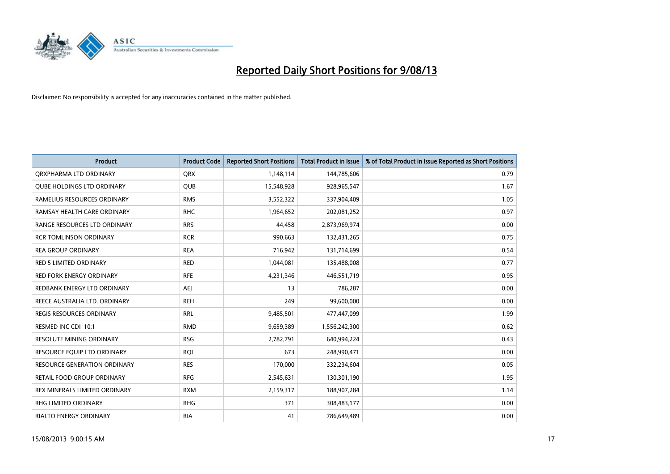

| <b>Product</b>                      | <b>Product Code</b> | <b>Reported Short Positions</b> | <b>Total Product in Issue</b> | % of Total Product in Issue Reported as Short Positions |
|-------------------------------------|---------------------|---------------------------------|-------------------------------|---------------------------------------------------------|
| ORXPHARMA LTD ORDINARY              | <b>QRX</b>          | 1,148,114                       | 144,785,606                   | 0.79                                                    |
| <b>QUBE HOLDINGS LTD ORDINARY</b>   | <b>QUB</b>          | 15,548,928                      | 928,965,547                   | 1.67                                                    |
| RAMELIUS RESOURCES ORDINARY         | <b>RMS</b>          | 3,552,322                       | 337,904,409                   | 1.05                                                    |
| RAMSAY HEALTH CARE ORDINARY         | <b>RHC</b>          | 1,964,652                       | 202,081,252                   | 0.97                                                    |
| RANGE RESOURCES LTD ORDINARY        | <b>RRS</b>          | 44,458                          | 2,873,969,974                 | 0.00                                                    |
| <b>RCR TOMLINSON ORDINARY</b>       | <b>RCR</b>          | 990,663                         | 132,431,265                   | 0.75                                                    |
| <b>REA GROUP ORDINARY</b>           | <b>REA</b>          | 716,942                         | 131,714,699                   | 0.54                                                    |
| RED 5 LIMITED ORDINARY              | <b>RED</b>          | 1,044,081                       | 135,488,008                   | 0.77                                                    |
| <b>RED FORK ENERGY ORDINARY</b>     | <b>RFE</b>          | 4,231,346                       | 446,551,719                   | 0.95                                                    |
| REDBANK ENERGY LTD ORDINARY         | <b>AEI</b>          | 13                              | 786,287                       | 0.00                                                    |
| REECE AUSTRALIA LTD. ORDINARY       | <b>REH</b>          | 249                             | 99,600,000                    | 0.00                                                    |
| REGIS RESOURCES ORDINARY            | <b>RRL</b>          | 9,485,501                       | 477,447,099                   | 1.99                                                    |
| RESMED INC CDI 10:1                 | <b>RMD</b>          | 9,659,389                       | 1,556,242,300                 | 0.62                                                    |
| <b>RESOLUTE MINING ORDINARY</b>     | <b>RSG</b>          | 2,782,791                       | 640,994,224                   | 0.43                                                    |
| RESOURCE EQUIP LTD ORDINARY         | <b>RQL</b>          | 673                             | 248,990,471                   | 0.00                                                    |
| <b>RESOURCE GENERATION ORDINARY</b> | <b>RES</b>          | 170,000                         | 332,234,604                   | 0.05                                                    |
| RETAIL FOOD GROUP ORDINARY          | <b>RFG</b>          | 2,545,631                       | 130,301,190                   | 1.95                                                    |
| REX MINERALS LIMITED ORDINARY       | <b>RXM</b>          | 2,159,317                       | 188,907,284                   | 1.14                                                    |
| RHG LIMITED ORDINARY                | <b>RHG</b>          | 371                             | 308,483,177                   | 0.00                                                    |
| RIALTO ENERGY ORDINARY              | <b>RIA</b>          | 41                              | 786,649,489                   | 0.00                                                    |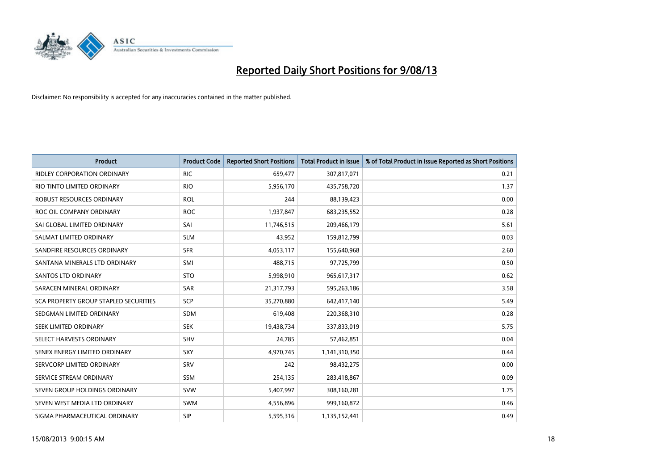

| <b>Product</b>                        | <b>Product Code</b> | <b>Reported Short Positions</b> | <b>Total Product in Issue</b> | % of Total Product in Issue Reported as Short Positions |
|---------------------------------------|---------------------|---------------------------------|-------------------------------|---------------------------------------------------------|
| <b>RIDLEY CORPORATION ORDINARY</b>    | <b>RIC</b>          | 659,477                         | 307,817,071                   | 0.21                                                    |
| RIO TINTO LIMITED ORDINARY            | <b>RIO</b>          | 5,956,170                       | 435,758,720                   | 1.37                                                    |
| <b>ROBUST RESOURCES ORDINARY</b>      | <b>ROL</b>          | 244                             | 88,139,423                    | 0.00                                                    |
| ROC OIL COMPANY ORDINARY              | <b>ROC</b>          | 1,937,847                       | 683,235,552                   | 0.28                                                    |
| SAI GLOBAL LIMITED ORDINARY           | SAI                 | 11,746,515                      | 209,466,179                   | 5.61                                                    |
| SALMAT LIMITED ORDINARY               | <b>SLM</b>          | 43,952                          | 159,812,799                   | 0.03                                                    |
| SANDFIRE RESOURCES ORDINARY           | <b>SFR</b>          | 4,053,117                       | 155,640,968                   | 2.60                                                    |
| SANTANA MINERALS LTD ORDINARY         | SMI                 | 488,715                         | 97,725,799                    | 0.50                                                    |
| SANTOS LTD ORDINARY                   | <b>STO</b>          | 5,998,910                       | 965,617,317                   | 0.62                                                    |
| SARACEN MINERAL ORDINARY              | <b>SAR</b>          | 21,317,793                      | 595,263,186                   | 3.58                                                    |
| SCA PROPERTY GROUP STAPLED SECURITIES | SCP                 | 35,270,880                      | 642,417,140                   | 5.49                                                    |
| SEDGMAN LIMITED ORDINARY              | SDM                 | 619,408                         | 220,368,310                   | 0.28                                                    |
| SEEK LIMITED ORDINARY                 | <b>SEK</b>          | 19,438,734                      | 337,833,019                   | 5.75                                                    |
| SELECT HARVESTS ORDINARY              | <b>SHV</b>          | 24,785                          | 57,462,851                    | 0.04                                                    |
| SENEX ENERGY LIMITED ORDINARY         | <b>SXY</b>          | 4,970,745                       | 1,141,310,350                 | 0.44                                                    |
| SERVCORP LIMITED ORDINARY             | SRV                 | 242                             | 98,432,275                    | 0.00                                                    |
| SERVICE STREAM ORDINARY               | SSM                 | 254,135                         | 283,418,867                   | 0.09                                                    |
| SEVEN GROUP HOLDINGS ORDINARY         | <b>SVW</b>          | 5,407,997                       | 308,160,281                   | 1.75                                                    |
| SEVEN WEST MEDIA LTD ORDINARY         | SWM                 | 4,556,896                       | 999,160,872                   | 0.46                                                    |
| SIGMA PHARMACEUTICAL ORDINARY         | <b>SIP</b>          | 5,595,316                       | 1,135,152,441                 | 0.49                                                    |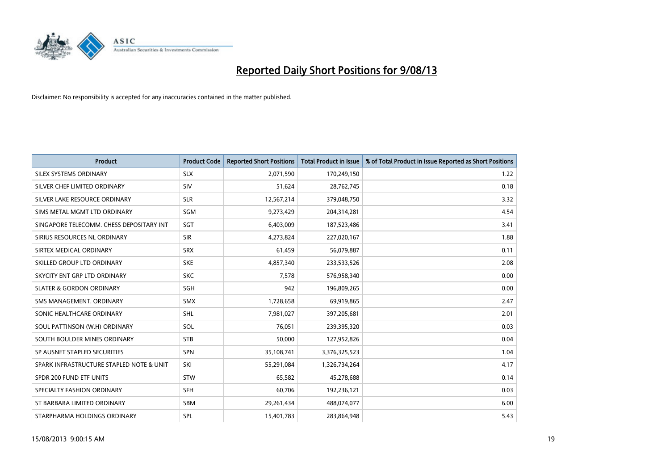

| <b>Product</b>                           | <b>Product Code</b> | <b>Reported Short Positions</b> | <b>Total Product in Issue</b> | % of Total Product in Issue Reported as Short Positions |
|------------------------------------------|---------------------|---------------------------------|-------------------------------|---------------------------------------------------------|
| SILEX SYSTEMS ORDINARY                   | <b>SLX</b>          | 2,071,590                       | 170,249,150                   | 1.22                                                    |
| SILVER CHEF LIMITED ORDINARY             | <b>SIV</b>          | 51,624                          | 28,762,745                    | 0.18                                                    |
| SILVER LAKE RESOURCE ORDINARY            | <b>SLR</b>          | 12,567,214                      | 379,048,750                   | 3.32                                                    |
| SIMS METAL MGMT LTD ORDINARY             | <b>SGM</b>          | 9,273,429                       | 204,314,281                   | 4.54                                                    |
| SINGAPORE TELECOMM. CHESS DEPOSITARY INT | SGT                 | 6,403,009                       | 187,523,486                   | 3.41                                                    |
| SIRIUS RESOURCES NL ORDINARY             | <b>SIR</b>          | 4,273,824                       | 227,020,167                   | 1.88                                                    |
| SIRTEX MEDICAL ORDINARY                  | <b>SRX</b>          | 61.459                          | 56,079,887                    | 0.11                                                    |
| SKILLED GROUP LTD ORDINARY               | <b>SKE</b>          | 4,857,340                       | 233,533,526                   | 2.08                                                    |
| SKYCITY ENT GRP LTD ORDINARY             | <b>SKC</b>          | 7,578                           | 576,958,340                   | 0.00                                                    |
| <b>SLATER &amp; GORDON ORDINARY</b>      | SGH                 | 942                             | 196,809,265                   | 0.00                                                    |
| SMS MANAGEMENT. ORDINARY                 | SMX                 | 1,728,658                       | 69,919,865                    | 2.47                                                    |
| SONIC HEALTHCARE ORDINARY                | <b>SHL</b>          | 7,981,027                       | 397,205,681                   | 2.01                                                    |
| SOUL PATTINSON (W.H) ORDINARY            | <b>SOL</b>          | 76,051                          | 239,395,320                   | 0.03                                                    |
| SOUTH BOULDER MINES ORDINARY             | <b>STB</b>          | 50,000                          | 127,952,826                   | 0.04                                                    |
| SP AUSNET STAPLED SECURITIES             | SPN                 | 35,108,741                      | 3,376,325,523                 | 1.04                                                    |
| SPARK INFRASTRUCTURE STAPLED NOTE & UNIT | SKI                 | 55,291,084                      | 1,326,734,264                 | 4.17                                                    |
| SPDR 200 FUND ETF UNITS                  | <b>STW</b>          | 65,582                          | 45,278,688                    | 0.14                                                    |
| SPECIALTY FASHION ORDINARY               | <b>SFH</b>          | 60.706                          | 192,236,121                   | 0.03                                                    |
| ST BARBARA LIMITED ORDINARY              | <b>SBM</b>          | 29,261,434                      | 488,074,077                   | 6.00                                                    |
| STARPHARMA HOLDINGS ORDINARY             | SPL                 | 15,401,783                      | 283,864,948                   | 5.43                                                    |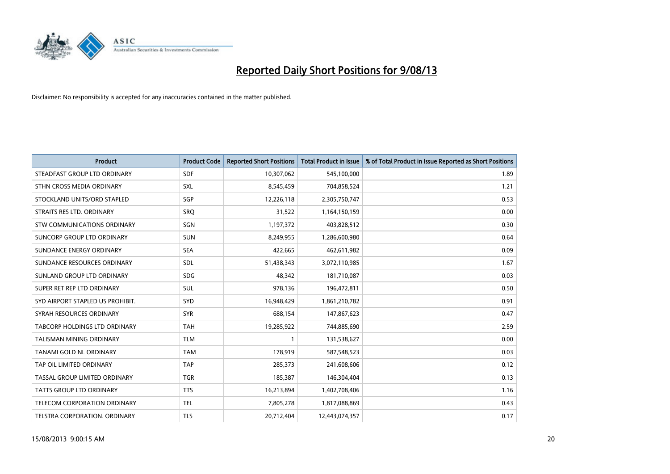![](_page_19_Picture_0.jpeg)

| <b>Product</b>                       | <b>Product Code</b> | <b>Reported Short Positions</b> | <b>Total Product in Issue</b> | % of Total Product in Issue Reported as Short Positions |
|--------------------------------------|---------------------|---------------------------------|-------------------------------|---------------------------------------------------------|
| STEADFAST GROUP LTD ORDINARY         | <b>SDF</b>          | 10,307,062                      | 545,100,000                   | 1.89                                                    |
| STHN CROSS MEDIA ORDINARY            | <b>SXL</b>          | 8,545,459                       | 704,858,524                   | 1.21                                                    |
| STOCKLAND UNITS/ORD STAPLED          | SGP                 | 12,226,118                      | 2,305,750,747                 | 0.53                                                    |
| STRAITS RES LTD. ORDINARY            | SRO                 | 31,522                          | 1,164,150,159                 | 0.00                                                    |
| STW COMMUNICATIONS ORDINARY          | SGN                 | 1,197,372                       | 403,828,512                   | 0.30                                                    |
| SUNCORP GROUP LTD ORDINARY           | <b>SUN</b>          | 8,249,955                       | 1,286,600,980                 | 0.64                                                    |
| SUNDANCE ENERGY ORDINARY             | SEA                 | 422,665                         | 462,611,982                   | 0.09                                                    |
| SUNDANCE RESOURCES ORDINARY          | <b>SDL</b>          | 51,438,343                      | 3,072,110,985                 | 1.67                                                    |
| SUNLAND GROUP LTD ORDINARY           | <b>SDG</b>          | 48,342                          | 181,710,087                   | 0.03                                                    |
| SUPER RET REP LTD ORDINARY           | <b>SUL</b>          | 978,136                         | 196,472,811                   | 0.50                                                    |
| SYD AIRPORT STAPLED US PROHIBIT.     | <b>SYD</b>          | 16,948,429                      | 1,861,210,782                 | 0.91                                                    |
| SYRAH RESOURCES ORDINARY             | <b>SYR</b>          | 688,154                         | 147,867,623                   | 0.47                                                    |
| <b>TABCORP HOLDINGS LTD ORDINARY</b> | <b>TAH</b>          | 19,285,922                      | 744,885,690                   | 2.59                                                    |
| <b>TALISMAN MINING ORDINARY</b>      | <b>TLM</b>          | $\mathbf{1}$                    | 131,538,627                   | 0.00                                                    |
| TANAMI GOLD NL ORDINARY              | <b>TAM</b>          | 178,919                         | 587,548,523                   | 0.03                                                    |
| TAP OIL LIMITED ORDINARY             | <b>TAP</b>          | 285,373                         | 241,608,606                   | 0.12                                                    |
| TASSAL GROUP LIMITED ORDINARY        | <b>TGR</b>          | 185,387                         | 146,304,404                   | 0.13                                                    |
| <b>TATTS GROUP LTD ORDINARY</b>      | <b>TTS</b>          | 16,213,894                      | 1,402,708,406                 | 1.16                                                    |
| <b>TELECOM CORPORATION ORDINARY</b>  | <b>TEL</b>          | 7,805,278                       | 1,817,088,869                 | 0.43                                                    |
| TELSTRA CORPORATION. ORDINARY        | <b>TLS</b>          | 20,712,404                      | 12,443,074,357                | 0.17                                                    |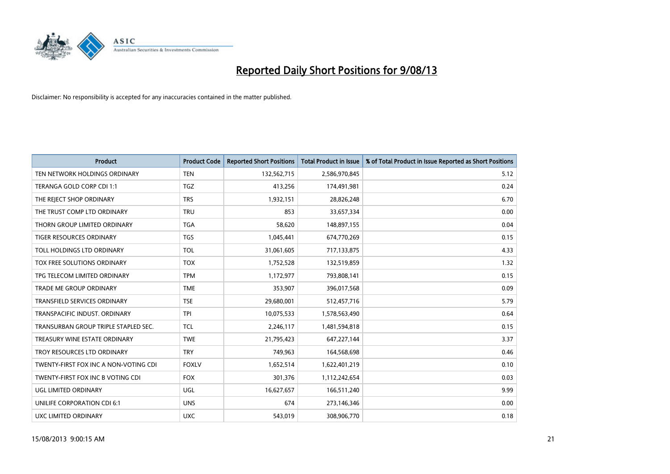![](_page_20_Picture_0.jpeg)

| <b>Product</b>                        | <b>Product Code</b> | <b>Reported Short Positions</b> | Total Product in Issue | % of Total Product in Issue Reported as Short Positions |
|---------------------------------------|---------------------|---------------------------------|------------------------|---------------------------------------------------------|
| TEN NETWORK HOLDINGS ORDINARY         | <b>TEN</b>          | 132,562,715                     | 2,586,970,845          | 5.12                                                    |
| TERANGA GOLD CORP CDI 1:1             | <b>TGZ</b>          | 413,256                         | 174,491,981            | 0.24                                                    |
| THE REJECT SHOP ORDINARY              | <b>TRS</b>          | 1,932,151                       | 28,826,248             | 6.70                                                    |
| THE TRUST COMP LTD ORDINARY           | <b>TRU</b>          | 853                             | 33,657,334             | 0.00                                                    |
| THORN GROUP LIMITED ORDINARY          | <b>TGA</b>          | 58,620                          | 148,897,155            | 0.04                                                    |
| <b>TIGER RESOURCES ORDINARY</b>       | <b>TGS</b>          | 1,045,441                       | 674,770,269            | 0.15                                                    |
| TOLL HOLDINGS LTD ORDINARY            | <b>TOL</b>          | 31,061,605                      | 717,133,875            | 4.33                                                    |
| TOX FREE SOLUTIONS ORDINARY           | <b>TOX</b>          | 1,752,528                       | 132,519,859            | 1.32                                                    |
| TPG TELECOM LIMITED ORDINARY          | <b>TPM</b>          | 1,172,977                       | 793,808,141            | 0.15                                                    |
| <b>TRADE ME GROUP ORDINARY</b>        | <b>TME</b>          | 353,907                         | 396,017,568            | 0.09                                                    |
| TRANSFIELD SERVICES ORDINARY          | <b>TSE</b>          | 29,680,001                      | 512,457,716            | 5.79                                                    |
| TRANSPACIFIC INDUST, ORDINARY         | <b>TPI</b>          | 10,075,533                      | 1,578,563,490          | 0.64                                                    |
| TRANSURBAN GROUP TRIPLE STAPLED SEC.  | <b>TCL</b>          | 2,246,117                       | 1,481,594,818          | 0.15                                                    |
| TREASURY WINE ESTATE ORDINARY         | <b>TWE</b>          | 21,795,423                      | 647,227,144            | 3.37                                                    |
| TROY RESOURCES LTD ORDINARY           | <b>TRY</b>          | 749,963                         | 164,568,698            | 0.46                                                    |
| TWENTY-FIRST FOX INC A NON-VOTING CDI | <b>FOXLV</b>        | 1,652,514                       | 1,622,401,219          | 0.10                                                    |
| TWENTY-FIRST FOX INC B VOTING CDI     | <b>FOX</b>          | 301,376                         | 1,112,242,654          | 0.03                                                    |
| UGL LIMITED ORDINARY                  | UGL                 | 16,627,657                      | 166,511,240            | 9.99                                                    |
| UNILIFE CORPORATION CDI 6:1           | <b>UNS</b>          | 674                             | 273,146,346            | 0.00                                                    |
| <b>UXC LIMITED ORDINARY</b>           | <b>UXC</b>          | 543,019                         | 308,906,770            | 0.18                                                    |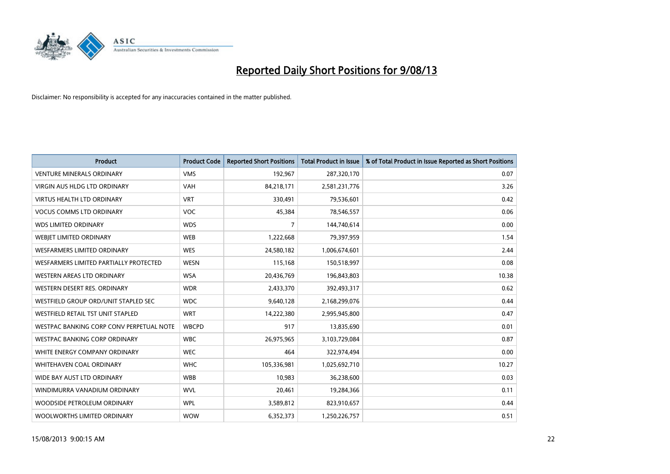![](_page_21_Picture_0.jpeg)

| <b>Product</b>                           | <b>Product Code</b> | <b>Reported Short Positions</b> | <b>Total Product in Issue</b> | % of Total Product in Issue Reported as Short Positions |
|------------------------------------------|---------------------|---------------------------------|-------------------------------|---------------------------------------------------------|
| <b>VENTURE MINERALS ORDINARY</b>         | <b>VMS</b>          | 192,967                         | 287,320,170                   | 0.07                                                    |
| VIRGIN AUS HLDG LTD ORDINARY             | <b>VAH</b>          | 84,218,171                      | 2,581,231,776                 | 3.26                                                    |
| <b>VIRTUS HEALTH LTD ORDINARY</b>        | <b>VRT</b>          | 330,491                         | 79,536,601                    | 0.42                                                    |
| <b>VOCUS COMMS LTD ORDINARY</b>          | <b>VOC</b>          | 45,384                          | 78,546,557                    | 0.06                                                    |
| <b>WDS LIMITED ORDINARY</b>              | <b>WDS</b>          | 7                               | 144,740,614                   | 0.00                                                    |
| WEBJET LIMITED ORDINARY                  | <b>WEB</b>          | 1,222,668                       | 79,397,959                    | 1.54                                                    |
| <b>WESFARMERS LIMITED ORDINARY</b>       | <b>WES</b>          | 24,580,182                      | 1,006,674,601                 | 2.44                                                    |
| WESFARMERS LIMITED PARTIALLY PROTECTED   | <b>WESN</b>         | 115,168                         | 150,518,997                   | 0.08                                                    |
| WESTERN AREAS LTD ORDINARY               | <b>WSA</b>          | 20,436,769                      | 196,843,803                   | 10.38                                                   |
| WESTERN DESERT RES. ORDINARY             | <b>WDR</b>          | 2,433,370                       | 392,493,317                   | 0.62                                                    |
| WESTFIELD GROUP ORD/UNIT STAPLED SEC     | <b>WDC</b>          | 9,640,128                       | 2,168,299,076                 | 0.44                                                    |
| <b>WESTFIELD RETAIL TST UNIT STAPLED</b> | <b>WRT</b>          | 14,222,380                      | 2,995,945,800                 | 0.47                                                    |
| WESTPAC BANKING CORP CONV PERPETUAL NOTE | <b>WBCPD</b>        | 917                             | 13,835,690                    | 0.01                                                    |
| <b>WESTPAC BANKING CORP ORDINARY</b>     | <b>WBC</b>          | 26,975,965                      | 3,103,729,084                 | 0.87                                                    |
| WHITE ENERGY COMPANY ORDINARY            | <b>WEC</b>          | 464                             | 322,974,494                   | 0.00                                                    |
| <b>WHITEHAVEN COAL ORDINARY</b>          | <b>WHC</b>          | 105,336,981                     | 1,025,692,710                 | 10.27                                                   |
| WIDE BAY AUST LTD ORDINARY               | <b>WBB</b>          | 10,983                          | 36,238,600                    | 0.03                                                    |
| WINDIMURRA VANADIUM ORDINARY             | <b>WVL</b>          | 20,461                          | 19,284,366                    | 0.11                                                    |
| WOODSIDE PETROLEUM ORDINARY              | <b>WPL</b>          | 3,589,812                       | 823,910,657                   | 0.44                                                    |
| WOOLWORTHS LIMITED ORDINARY              | <b>WOW</b>          | 6,352,373                       | 1,250,226,757                 | 0.51                                                    |